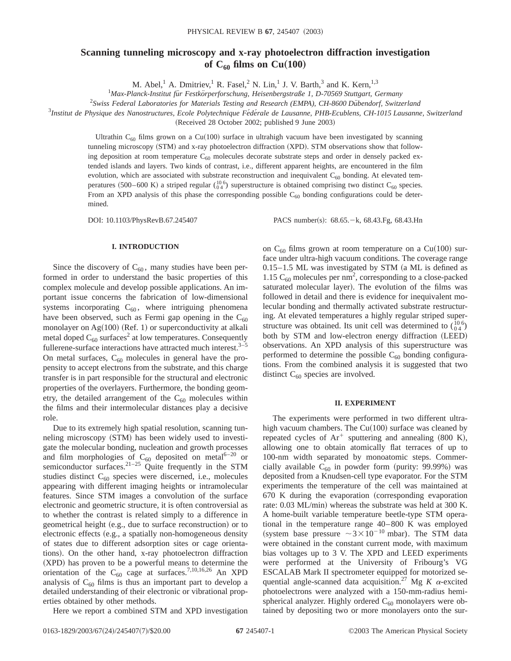# **Scanning tunneling microscopy and x-ray photoelectron diffraction investigation** of  $C_{60}$  films on  $Cu(100)$

M. Abel,<sup>1</sup> A. Dmitriev,<sup>1</sup> R. Fasel,<sup>2</sup> N. Lin,<sup>1</sup> J. V. Barth,<sup>3</sup> and K. Kern,<sup>1,3</sup>

<sup>1</sup>Max-Planck-Institut für Festkörperforschung, Heisenbergstraße 1, D-70569 Stuttgart, Germany

<sup>2</sup> Swiss Federal Laboratories for Materials Testing and Research (EMPA), CH-8600 Dübendorf, Switzerland

<sup>3</sup>Institut de Physique des Nanostructures, Ecole Polytechnique Fédérale de Lausanne, PHB-Ecublens, CH-1015 Lausanne, Switzerland

(Received 28 October 2002; published 9 June 2003)

Ultrathin  $C_{60}$  films grown on a Cu(100) surface in ultrahigh vacuum have been investigated by scanning tunneling microscopy (STM) and x-ray photoelectron diffraction (XPD). STM observations show that following deposition at room temperature  $C_{60}$  molecules decorate substrate steps and order in densely packed extended islands and layers. Two kinds of contrast, i.e., different apparent heights, are encountered in the film evolution, which are associated with substrate reconstruction and inequivalent  $C_{60}$  bonding. At elevated temperatures (500–600 K) a striped regular  $\binom{106}{04}$  superstructure is obtained comprising two distinct C<sub>60</sub> species. From an XPD analysis of this phase the corresponding possible  $C_{60}$  bonding configurations could be determined.

DOI: 10.1103/PhysRevB.67.245407 PACS number(s): 68.65. - k, 68.43.Fg, 68.43.Hn

## **I. INTRODUCTION**

Since the discovery of  $C_{60}$ , many studies have been performed in order to understand the basic properties of this complex molecule and develop possible applications. An important issue concerns the fabrication of low-dimensional systems incorporating  $C_{60}$ , where intriguing phenomena have been observed, such as Fermi gap opening in the  $C_{60}$ monolayer on Ag $(100)$  (Ref. 1) or superconductivity at alkali metal doped  $C_{60}$  surfaces<sup>2</sup> at low temperatures. Consequently fullerene-surface interactions have attracted much interest. $3-5$ On metal surfaces,  $C_{60}$  molecules in general have the propensity to accept electrons from the substrate, and this charge transfer is in part responsible for the structural and electronic properties of the overlayers. Furthermore, the bonding geometry, the detailed arrangement of the  $C_{60}$  molecules within the films and their intermolecular distances play a decisive role.

Due to its extremely high spatial resolution, scanning tunneling microscopy (STM) has been widely used to investigate the molecular bonding, nucleation and growth processes and film morphologies of  $C_{60}$  deposited on metal<sup>6–20</sup> or semiconductor surfaces. $2^{1-25}$  Quite frequently in the STM studies distinct  $C_{60}$  species were discerned, i.e., molecules appearing with different imaging heights or intramolecular features. Since STM images a convolution of the surface electronic and geometric structure, it is often controversial as to whether the contrast is related simply to a difference in geometrical height (e.g., due to surface reconstruction) or to electronic effects (e.g., a spatially non-homogeneous density of states due to different adsorption sites or cage orientations). On the other hand, x-ray photoelectron diffraction (XPD) has proven to be a powerful means to determine the orientation of the  $C_{60}$  cage at surfaces.<sup>7,10,16,26</sup> An XPD analysis of  $C_{60}$  films is thus an important part to develop a detailed understanding of their electronic or vibrational properties obtained by other methods.

Here we report a combined STM and XPD investigation

on  $C_{60}$  films grown at room temperature on a Cu(100) surface under ultra-high vacuum conditions. The coverage range  $0.15-1.5$  ML was investigated by STM (a ML is defined as 1.15  $C_{60}$  molecules per nm<sup>2</sup>, corresponding to a close-packed saturated molecular layer). The evolution of the films was followed in detail and there is evidence for inequivalent molecular bonding and thermally activated substrate restructuring. At elevated temperatures a highly regular striped superstructure was obtained. Its unit cell was determined to  $\binom{10}{04}$ both by STM and low-electron energy diffraction (LEED) observations. An XPD analysis of this superstructure was performed to determine the possible  $C_{60}$  bonding configurations. From the combined analysis it is suggested that two distinct  $C_{60}$  species are involved.

### **II. EXPERIMENT**

The experiments were performed in two different ultrahigh vacuum chambers. The  $Cu(100)$  surface was cleaned by repeated cycles of  $Ar^+$  sputtering and annealing  $(800 \text{ K})$ , allowing one to obtain atomically flat terraces of up to 100-nm width separated by monoatomic steps. Commercially available  $C_{60}$  in powder form (purity: 99.99%) was deposited from a Knudsen-cell type evaporator. For the STM experiments the temperature of the cell was maintained at  $670$  K during the evaporation (corresponding evaporation rate: 0.03 ML/min) whereas the substrate was held at 300 K. A home-built variable temperature beetle-type STM operational in the temperature range 40–800 K was employed (system base pressure  $\sim 3 \times 10^{-10}$  mbar). The STM data were obtained in the constant current mode, with maximum bias voltages up to 3 V. The XPD and LEED experiments were performed at the University of Fribourg's VG ESCALAB Mark II spectrometer equipped for motorized sequential angle-scanned data acquisition.<sup>27</sup> Mg  $K$   $\alpha$ -excited photoelectrons were analyzed with a 150-mm-radius hemispherical analyzer. Highly ordered  $C_{60}$  monolayers were obtained by depositing two or more monolayers onto the sur-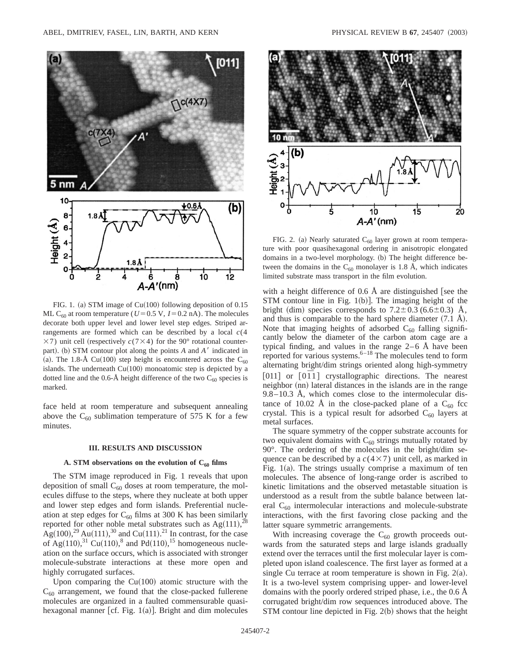

FIG. 1. (a) STM image of Cu(100) following deposition of  $0.15$ ML C<sub>60</sub> at room temperature ( $U=0.5$  V,  $I=0.2$  nA). The molecules decorate both upper level and lower level step edges. Striped arrangements are formed which can be described by a local *c*(4  $\times$ 7) unit cell (respectively *c*(7 $\times$ 4) for the 90° rotational counterpart). (b) STM contour plot along the points *A* and *A*<sup> $\prime$ </sup> indicated in (a). The 1.8-Å Cu(100) step height is encountered across the C<sub>60</sub> islands. The underneath  $Cu(100)$  monoatomic step is depicted by a dotted line and the 0.6-Å height difference of the two  $C_{60}$  species is marked.

face held at room temperature and subsequent annealing above the  $C_{60}$  sublimation temperature of 575 K for a few minutes.

#### **III. RESULTS AND DISCUSSION**

# A. STM observations on the evolution of  $C_{60}$  films

The STM image reproduced in Fig. 1 reveals that upon deposition of small  $C_{60}$  doses at room temperature, the molecules diffuse to the steps, where they nucleate at both upper and lower step edges and form islands. Preferential nucleation at step edges for  $C_{60}$  films at 300 K has been similarly reported for other noble metal substrates such as  $Ag(111),^{28}$  $\text{Ag}(100)$ ,<sup>29</sup> Au(111),<sup>30</sup> and Cu(111).<sup>21</sup> In contrast, for the case of Ag $(110)$ ,<sup>31</sup> Cu $(110)$ ,<sup>8</sup> and Pd $(110)$ ,<sup>15</sup> homogeneous nucleation on the surface occurs, which is associated with stronger molecule-substrate interactions at these more open and highly corrugated surfaces.

Upon comparing the  $Cu(100)$  atomic structure with the  $C_{60}$  arrangement, we found that the close-packed fullerene molecules are organized in a faulted commensurable quasihexagonal manner [cf. Fig.  $1(a)$ ]. Bright and dim molecules



FIG. 2. (a) Nearly saturated  $C_{60}$  layer grown at room temperature with poor quasihexagonal ordering in anisotropic elongated domains in a two-level morphology. (b) The height difference between the domains in the  $C_{60}$  monolayer is 1.8 Å, which indicates limited substrate mass transport in the film evolution.

with a height difference of  $0.6$  Å are distinguished [see the STM contour line in Fig.  $1(b)$ . The imaging height of the bright (dim) species corresponds to  $7.2 \pm 0.3$  (6.6 $\pm$ 0.3) Å, and thus is comparable to the hard sphere diameter  $(7.1 \text{ Å})$ . Note that imaging heights of adsorbed  $C_{60}$  falling significantly below the diameter of the carbon atom cage are a typical finding, and values in the range 2–6 Å have been reported for various systems. $6-18$  The molecules tend to form alternating bright/dim strings oriented along high-symmetry  $[011]$  or  $[011]$  crystallographic directions. The nearest neighbor (nn) lateral distances in the islands are in the range  $9.8-10.3$  Å, which comes close to the intermolecular distance of 10.02 Å in the close-packed plane of a  $C_{60}$  fcc crystal. This is a typical result for adsorbed  $C_{60}$  layers at metal surfaces.

The square symmetry of the copper substrate accounts for two equivalent domains with  $C_{60}$  strings mutually rotated by 90°. The ordering of the molecules in the bright/dim sequence can be described by a  $c(4\times7)$  unit cell, as marked in Fig.  $1(a)$ . The strings usually comprise a maximum of ten molecules. The absence of long-range order is ascribed to kinetic limitations and the observed metastable situation is understood as a result from the subtle balance between lateral  $C_{60}$  intermolecular interactions and molecule-substrate interactions, with the first favoring close packing and the latter square symmetric arrangements.

With increasing coverage the  $C_{60}$  growth proceeds outwards from the saturated steps and large islands gradually extend over the terraces until the first molecular layer is completed upon island coalescence. The first layer as formed at a single Cu terrace at room temperature is shown in Fig.  $2(a)$ . It is a two-level system comprising upper- and lower-level domains with the poorly ordered striped phase, i.e., the 0.6 Å corrugated bright/dim row sequences introduced above. The STM contour line depicted in Fig.  $2(b)$  shows that the height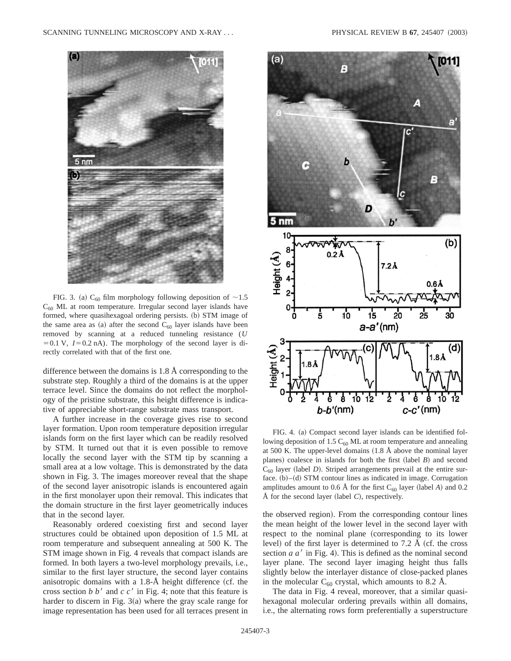

FIG. 3. (a)  $C_{60}$  film morphology following deposition of  $\sim$ 1.5  $C_{60}$  ML at room temperature. Irregular second layer islands have formed, where quasihexagoal ordering persists. (b) STM image of the same area as (a) after the second  $C_{60}$  layer islands have been removed by scanning at a reduced tunneling resistance (*U*  $=0.1$  V,  $I=0.2$  nA). The morphology of the second layer is directly correlated with that of the first one.

difference between the domains is 1.8 Å corresponding to the substrate step. Roughly a third of the domains is at the upper terrace level. Since the domains do not reflect the morphology of the pristine substrate, this height difference is indicative of appreciable short-range substrate mass transport.

A further increase in the coverage gives rise to second layer formation. Upon room temperature deposition irregular islands form on the first layer which can be readily resolved by STM. It turned out that it is even possible to remove locally the second layer with the STM tip by scanning a small area at a low voltage. This is demonstrated by the data shown in Fig. 3. The images moreover reveal that the shape of the second layer anisotropic islands is encountered again in the first monolayer upon their removal. This indicates that the domain structure in the first layer geometrically induces that in the second layer.

Reasonably ordered coexisting first and second layer structures could be obtained upon deposition of 1.5 ML at room temperature and subsequent annealing at 500 K. The STM image shown in Fig. 4 reveals that compact islands are formed. In both layers a two-level morphology prevails, i.e., similar to the first layer structure, the second layer contains anisotropic domains with a  $1.8-\text{\AA}$  height difference (cf. the cross section *b b'* and  $c c'$  in Fig. 4; note that this feature is harder to discern in Fig.  $3(a)$  where the gray scale range for image representation has been used for all terraces present in



FIG. 4. (a) Compact second layer islands can be identified following deposition of 1.5  $C_{60}$  ML at room temperature and annealing at 500 K. The upper-level domains  $(1.8 \text{ Å}$  above the nominal layer planes) coalesce in islands for both the first  $(label B)$  and second  $C_{60}$  layer (label *D*). Striped arrangements prevail at the entire surface.  $(b)$ – $(d)$  STM contour lines as indicated in image. Corrugation amplitudes amount to 0.6 Å for the first  $C_{60}$  layer (label *A*) and 0.2 Å for the second layer (label  $C$ ), respectively.

the observed region). From the corresponding contour lines the mean height of the lower level in the second layer with respect to the nominal plane (corresponding to its lower level) of the first layer is determined to  $7.2 \text{ Å}$  (cf. the cross section  $a a'$  in Fig. 4). This is defined as the nominal second layer plane. The second layer imaging height thus falls slightly below the interlayer distance of close-packed planes in the molecular  $C_{60}$  crystal, which amounts to 8.2 Å.

The data in Fig. 4 reveal, moreover, that a similar quasihexagonal molecular ordering prevails within all domains, i.e., the alternating rows form preferentially a superstructure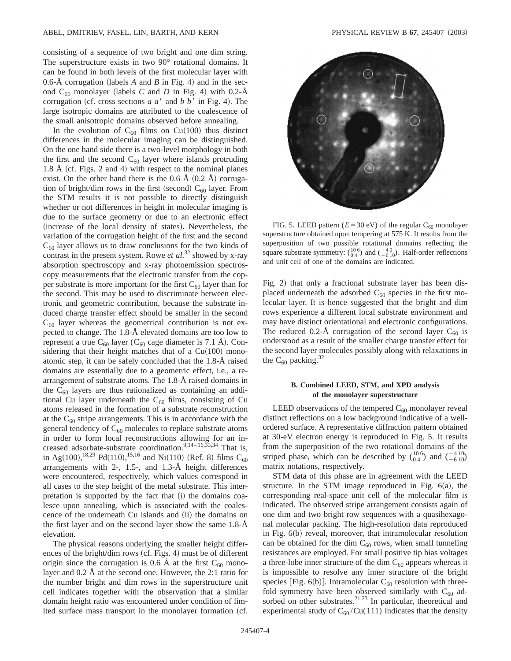consisting of a sequence of two bright and one dim string. The superstructure exists in two 90° rotational domains. It can be found in both levels of the first molecular layer with 0.6-Å corrugation (labels  $A$  and  $B$  in Fig. 4) and in the second  $C_{60}$  monolayer (labels *C* and *D* in Fig. 4) with 0.2-Å corrugation (cf. cross sections  $a a'$  and  $b b'$  in Fig. 4). The large isotropic domains are attributed to the coalescence of the small anisotropic domains observed before annealing.

In the evolution of  $C_{60}$  films on Cu(100) thus distinct differences in the molecular imaging can be distinguished. On the one hand side there is a two-level morphology in both the first and the second  $C_{60}$  layer where islands protruding 1.8 Å (cf. Figs. 2 and 4) with respect to the nominal planes exist. On the other hand there is the  $0.6 \text{ Å } (0.2 \text{ Å})$  corrugation of bright/dim rows in the first (second)  $C_{60}$  layer. From the STM results it is not possible to directly distinguish whether or not differences in height in molecular imaging is due to the surface geometry or due to an electronic effect (increase of the local density of states). Nevertheless, the variation of the corrugation height of the first and the second  $C_{60}$  layer allows us to draw conclusions for the two kinds of contrast in the present system. Rowe *et al.*<sup>32</sup> showed by x-ray absorption spectroscopy and x-ray photoemission spectroscopy measurements that the electronic transfer from the copper substrate is more important for the first  $C_{60}$  layer than for the second. This may be used to discriminate between electronic and geometric contribution, because the substrate induced charge transfer effect should be smaller in the second  $C_{60}$  layer whereas the geometrical contribution is not expected to change. The 1.8-Å elevated domains are too low to represent a true  $C_{60}$  layer ( $C_{60}$  cage diameter is 7.1 Å). Considering that their height matches that of a  $Cu(100)$  monoatomic step, it can be safely concluded that the 1.8-Å raised domains are essentially due to a geometric effect, i.e., a rearrangement of substrate atoms. The 1.8-Å raised domains in the  $C_{60}$  layers are thus rationalized as containing an additional Cu layer underneath the  $C_{60}$  films, consisting of Cu atoms released in the formation of a substrate reconstruction at the  $C_{60}$  stripe arrangements. This is in accordance with the general tendency of  $C_{60}$  molecules to replace substrate atoms in order to form local reconstructions allowing for an increased adsorbate-substrate coordination.<sup>9,14–16,33,34</sup> That is, in Ag $(100)$ , <sup>18,29</sup> Pd $(110)$ , <sup>15,16</sup> and Ni $(110)$  (Ref. 8) films C<sub>60</sub> arrangements with 2-, 1.5-, and 1.3-Å height differences were encountered, respectively, which values correspond in all cases to the step height of the metal substrate. This interpretation is supported by the fact that  $(i)$  the domains coalesce upon annealing, which is associated with the coalescence of the underneath Cu islands and  $(ii)$  the domains on the first layer and on the second layer show the same 1.8-Å elevation.

The physical reasons underlying the smaller height differences of the bright/dim rows (cf. Figs. 4) must be of different origin since the corrugation is 0.6 Å at the first  $C_{60}$  monolayer and 0.2 Å at the second one. However, the 2:1 ratio for the number bright and dim rows in the superstructure unit cell indicates together with the observation that a similar domain height ratio was encountered under condition of limited surface mass transport in the monolayer formation (cf.



FIG. 5. LEED pattern  $(E=30 \text{ eV})$  of the regular C<sub>60</sub> monolayer superstructure obtained upon tempering at 575 K. It results from the superposition of two possible rotational domains reflecting the square substrate symmetry:  $\binom{10}{0.4}$  and  $\binom{-4}{-6.10}$ . Half-order reflections and unit cell of one of the domains are indicated.

Fig. 2) that only a fractional substrate layer has been displaced underneath the adsorbed  $C_{60}$  species in the first molecular layer. It is hence suggested that the bright and dim rows experience a different local substrate environment and may have distinct orientational and electronic configurations. The reduced 0.2-Å corrugation of the second layer  $C_{60}$  is understood as a result of the smaller charge transfer effect for the second layer molecules possibly along with relaxations in the  $C_{60}$  packing.<sup>32</sup>

# **B. Combined LEED, STM, and XPD analysis of the monolayer superstructure**

LEED observations of the tempered  $C_{60}$  monolayer reveal distinct reflections on a low background indicative of a wellordered surface. A representative diffraction pattern obtained at 30-eV electron energy is reproduced in Fig. 5. It results from the superposition of the two rotational domains of the striped phase, which can be described by  $\binom{10}{04}$  and  $\binom{-4}{-6}$ matrix notations, respectively.

STM data of this phase are in agreement with the LEED structure. In the STM image reproduced in Fig.  $6(a)$ , the corresponding real-space unit cell of the molecular film is indicated. The observed stripe arrangement consists again of one dim and two bright row sequences with a quasihexagonal molecular packing. The high-resolution data reproduced in Fig.  $6(b)$  reveal, moreover, that intramolecular resolution can be obtained for the dim  $C_{60}$  rows, when small tunneling resistances are employed. For small positive tip bias voltages a three-lobe inner structure of the dim  $C_{60}$  appears whereas it is impossible to resolve any inner structure of the bright species [Fig. 6(b)]. Intramolecular  $C_{60}$  resolution with threefold symmetry have been observed similarly with  $C_{60}$  adsorbed on other substrates.<sup>21,23</sup> In particular, theoretical and experimental study of  $C_{60}/Cu(111)$  indicates that the density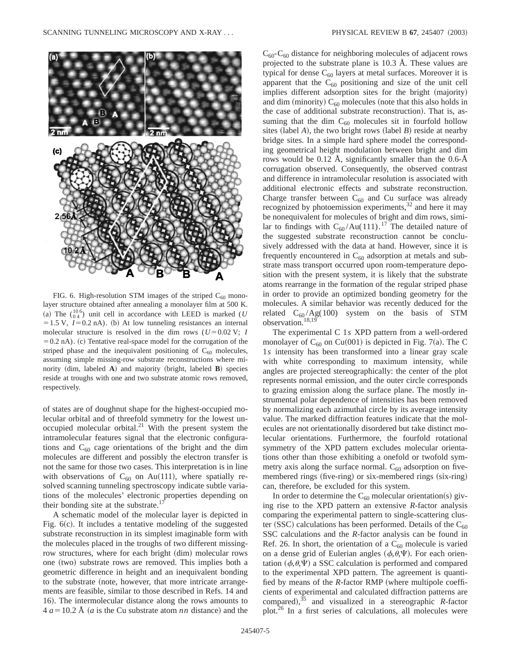

FIG. 6. High-resolution STM images of the striped  $C_{60}$  monolayer structure obtained after annealing a monolayer film at 500 K. (a) The  $\binom{106}{04}$  unit cell in accordance with LEED is marked (*U*  $=1.5$  V,  $I=0.2$  nA). (b) At low tunneling resistances an internal molecular structure is resolved in the dim rows ( $U=0.02$  V; *I*  $=0.2$  nA). (c) Tentative real-space model for the corrugation of the striped phase and the inequivalent positioning of  $C_{60}$  molecules, assuming simple missing-row substrate reconstructions where minority  $(\text{dim}, \text{ labeled } A)$  and majority  $(\text{bright}, \text{ labeled } B)$  species reside at troughs with one and two substrate atomic rows removed, respectively.

of states are of doughnut shape for the highest-occupied molecular orbital and of threefold symmetry for the lowest unoccupied molecular orbital. $^{21}$  With the present system the intramolecular features signal that the electronic configurations and  $C_{60}$  cage orientations of the bright and the dim molecules are different and possibly the electron transfer is not the same for those two cases. This interpretation is in line with observations of  $C_{60}$  on Au(111), where spatially resolved scanning tunneling spectroscopy indicate subtle variations of the molecules' electronic properties depending on their bonding site at the substrate. $17$ 

A schematic model of the molecular layer is depicted in Fig.  $6(c)$ . It includes a tentative modeling of the suggested substrate reconstruction in its simplest imaginable form with the molecules placed in the troughs of two different missingrow structures, where for each bright  $(\dim)$  molecular rows one (two) substrate rows are removed. This implies both a geometric difference in height and an inequivalent bonding to the substrate (note, however, that more intricate arrangements are feasible, similar to those described in Refs. 14 and 16). The intermolecular distance along the rows amounts to  $4 a = 10.2$  Å (*a* is the Cu substrate atom *nn* distance) and the

 $C_{60}$ - $C_{60}$  distance for neighboring molecules of adjacent rows projected to the substrate plane is 10.3 Å. These values are typical for dense  $C_{60}$  layers at metal surfaces. Moreover it is apparent that the  $C_{60}$  positioning and size of the unit cell implies different adsorption sites for the bright (majority) and dim (minority)  $C_{60}$  molecules (note that this also holds in the case of additional substrate reconstruction). That is, assuming that the dim  $C_{60}$  molecules sit in fourfold hollow sites (label  $A$ ), the two bright rows (label  $B$ ) reside at nearby bridge sites. In a simple hard sphere model the corresponding geometrical height modulation between bright and dim rows would be 0.12 Å, significantly smaller than the 0.6-Å corrugation observed. Consequently, the observed contrast and difference in intramolecular resolution is associated with additional electronic effects and substrate reconstruction. Charge transfer between  $C_{60}$  and Cu surface was already recognized by photoemission experiments, $32$  and here it may be nonequivalent for molecules of bright and dim rows, similar to findings with  $C_{60}/Au(111)$ .<sup>17</sup> The detailed nature of the suggested substrate reconstruction cannot be conclusively addressed with the data at hand. However, since it is frequently encountered in  $C_{60}$  adsorption at metals and substrate mass transport occurred upon room-temperature deposition with the present system, it is likely that the substrate atoms rearrange in the formation of the regular striped phase in order to provide an optimized bonding geometry for the molecules. A similar behavior was recently deduced for the related  $C_{60}/Ag(100)$  system on the basis of STM observation.<sup>18,19</sup>

The experimental C 1*s* XPD pattern from a well-ordered monolayer of  $C_{60}$  on Cu(001) is depicted in Fig. 7(a). The C 1*s* intensity has been transformed into a linear gray scale with white corresponding to maximum intensity, while angles are projected stereographically: the center of the plot represents normal emission, and the outer circle corresponds to grazing emission along the surface plane. The mostly instrumental polar dependence of intensities has been removed by normalizing each azimuthal circle by its average intensity value. The marked diffraction features indicate that the molecules are not orientationally disordered but take distinct molecular orientations. Furthermore, the fourfold rotational symmetry of the XPD pattern excludes molecular orientations other than those exhibiting a onefold or twofold symmetry axis along the surface normal.  $C_{60}$  adsorption on fivemembered rings (five-ring) or six-membered rings (six-ring) can, therefore, be excluded for this system.

In order to determine the  $C_{60}$  molecular orientation(s) giving rise to the XPD pattern an extensive *R*-factor analysis comparing the experimental pattern to single-scattering cluster (SSC) calculations has been performed. Details of the  $C_{60}$ SSC calculations and the *R*-factor analysis can be found in Ref. 26. In short, the orientation of a  $C_{60}$  molecule is varied on a dense grid of Eulerian angles  $(\phi,\theta,\Psi)$ . For each orientation  $(\phi,\theta,\Psi)$  a SSC calculation is performed and compared to the experimental XPD pattern. The agreement is quantified by means of the  $R$ -factor RMP (where multipole coefficients of experimental and calculated diffraction patterns are compared),  $35$  and visualized in a stereographic *R*-factor plot.26 In a first series of calculations, all molecules were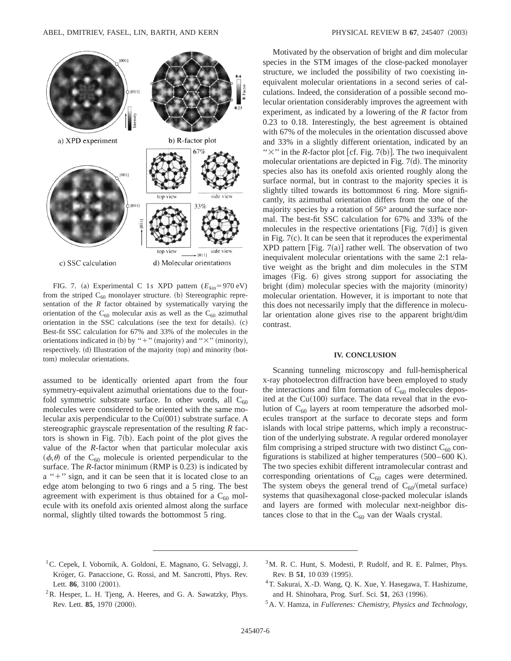

FIG. 7. (a) Experimental C 1*s* XPD pattern  $(E_{kin} = 970 \text{ eV})$ from the striped  $C_{60}$  monolayer structure. (b) Stereographic representation of the *R* factor obtained by systematically varying the orientation of the  $C_{60}$  molecular axis as well as the  $C_{60}$  azimuthal orientation in the SSC calculations (see the text for details).  $(c)$ Best-fit SSC calculation for 67% and 33% of the molecules in the orientations indicated in (b) by "+" (majority) and " $\times$ " (minority), respectively.  $(d)$  Illustration of the majority  $(top)$  and minority  $(bot$ tom) molecular orientations.

assumed to be identically oriented apart from the four symmetry-equivalent azimuthal orientations due to the fourfold symmetric substrate surface. In other words, all  $C_{60}$ molecules were considered to be oriented with the same molecular axis perpendicular to the  $Cu(001)$  substrate surface. A stereographic grayscale representation of the resulting *R* factors is shown in Fig.  $7(b)$ . Each point of the plot gives the value of the *R*-factor when that particular molecular axis  $(\phi,\theta)$  of the C<sub>60</sub> molecule is oriented perpendicular to the surface. The  $R$ -factor minimum (RMP is 0.23) is indicated by a "+" sign, and it can be seen that it is located close to an edge atom belonging to two 6 rings and a 5 ring. The best agreement with experiment is thus obtained for a  $C_{60}$  molecule with its onefold axis oriented almost along the surface normal, slightly tilted towards the bottommost 5 ring.

Motivated by the observation of bright and dim molecular species in the STM images of the close-packed monolayer structure, we included the possibility of two coexisting inequivalent molecular orientations in a second series of calculations. Indeed, the consideration of a possible second molecular orientation considerably improves the agreement with experiment, as indicated by a lowering of the *R* factor from 0.23 to 0.18. Interestingly, the best agreement is obtained with 67% of the molecules in the orientation discussed above and 33% in a slightly different orientation, indicated by an " $\times$ " in the *R*-factor plot [cf. Fig. 7(b)]. The two inequivalent molecular orientations are depicted in Fig.  $7(d)$ . The minority species also has its onefold axis oriented roughly along the surface normal, but in contrast to the majority species it is slightly tilted towards its bottommost 6 ring. More significantly, its azimuthal orientation differs from the one of the majority species by a rotation of 56° around the surface normal. The best-fit SSC calculation for 67% and 33% of the molecules in the respective orientations [Fig. 7 $(d)$ ] is given in Fig.  $7(c)$ . It can be seen that it reproduces the experimental XPD pattern [Fig.  $7(a)$ ] rather well. The observation of two inequivalent molecular orientations with the same 2:1 relative weight as the bright and dim molecules in the STM  $images (Fig. 6) gives strong support for associating the$ bright  $(dim)$  molecular species with the majority  $(minority)$ molecular orientation. However, it is important to note that this does not necessarily imply that the difference in molecular orientation alone gives rise to the apparent bright/dim contrast.

#### **IV. CONCLUSION**

Scanning tunneling microscopy and full-hemispherical x-ray photoelectron diffraction have been employed to study the interactions and film formation of  $C_{60}$  molecules deposited at the  $Cu(100)$  surface. The data reveal that in the evolution of  $C_{60}$  layers at room temperature the adsorbed molecules transport at the surface to decorate steps and form islands with local stripe patterns, which imply a reconstruction of the underlying substrate. A regular ordered monolayer film comprising a striped structure with two distinct  $C_{60}$  configurations is stabilized at higher temperatures  $(500-600 \text{ K})$ . The two species exhibit different intramolecular contrast and corresponding orientations of  $C_{60}$  cages were determined. The system obeys the general trend of  $C_{60}/($ metal surface) systems that quasihexagonal close-packed molecular islands and layers are formed with molecular next-neighbor distances close to that in the  $C_{60}$  van der Waals crystal.

- <sup>1</sup>C. Cepek, I. Vobornik, A. Goldoni, E. Magnano, G. Selvaggi, J. Kröger, G. Panaccione, G. Rossi, and M. Sancrotti, Phys. Rev. Lett. 86, 3100 (2001).
- <sup>3</sup>M. R. C. Hunt, S. Modesti, P. Rudolf, and R. E. Palmer, Phys. Rev. B 51, 10 039 (1995).
- ${}^{2}R$ . Hesper, L. H. Tjeng, A. Heeres, and G. A. Sawatzky, Phys. Rev. Lett. **85**, 1970 (2000).
- 4T. Sakurai, X.-D. Wang, Q. K. Xue, Y. Hasegawa, T. Hashizume, and H. Shinohara, Prog. Surf. Sci. 51, 263 (1996).
- 5A. V. Hamza, in *Fullerenes: Chemistry, Physics and Technology*,